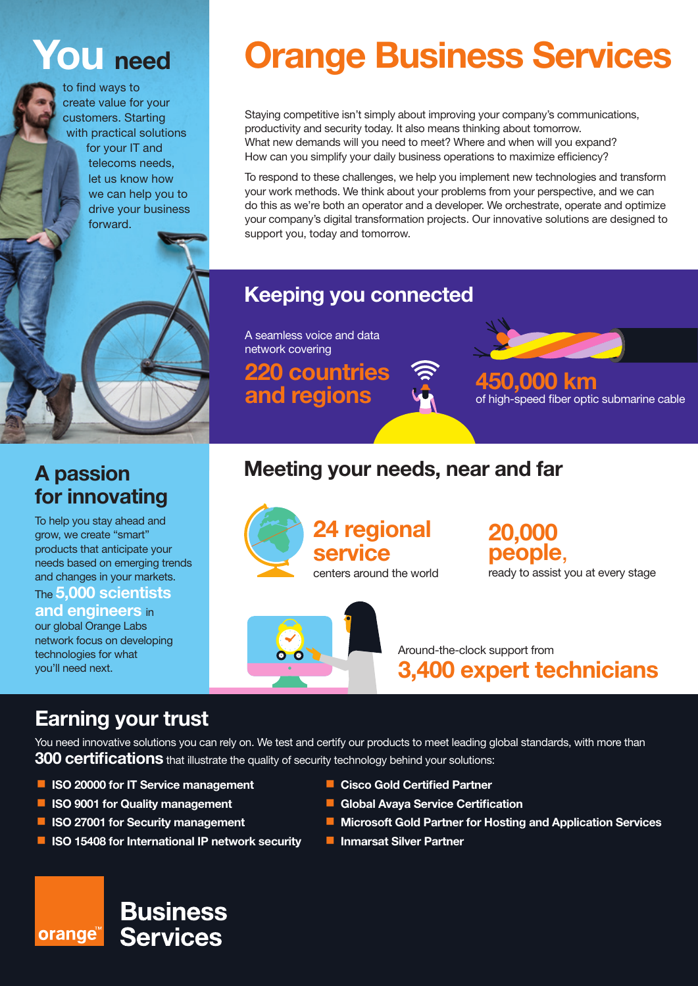# **You need**

to find ways to create value for your customers. Starting with practical solutions for your IT and telecoms needs,

let us know how we can help you to drive your business forward.

# **Orange Business Services**

Staying competitive isn't simply about improving your company's communications, productivity and security today. It also means thinking about tomorrow. What new demands will you need to meet? Where and when will you expand? How can you simplify your daily business operations to maximize efficiency?

To respond to these challenges, we help you implement new technologies and transform your work methods. We think about your problems from your perspective, and we can do this as we're both an operator and a developer. We orchestrate, operate and optimize your company's digital transformation projects. Our innovative solutions are designed to support you, today and tomorrow.

#### **Keeping you connected**

A seamless voice and data network covering

**220 countries and regions 450,000 km** 



of high-speed fiber optic submarine cable

### **A passion for innovating**

To help you stay ahead and grow, we create "smart" products that anticipate your needs based on emerging trends and changes in your markets. The **5,000 scientists** 

#### **and engineers** in

our global Orange Labs network focus on developing technologies for what you'll need next.

# **Meeting your needs, near and far**





**20,000 people**,

ready to assist you at every stage

Around-the-clock support from **3,400 expert technicians**

## **Earning your trust**

You need innovative solutions you can rely on. We test and certify our products to meet leading global standards, with more than **300 certifications** that illustrate the quality of security technology behind your solutions:

- **ISO 20000 for IT Service management**
- **ISO 9001 for Quality management**

orange<sup>®</sup>

- **ISO 27001 for Security management**
- **I** ISO 15408 for International IP network security

**Business** 

**Services** 

- **E** Cisco Gold Certified Partner
- **Global Avaya Service Certification**
- Microsoft Gold Partner for Hosting and Application Services
- **Inmarsat Silver Partner**